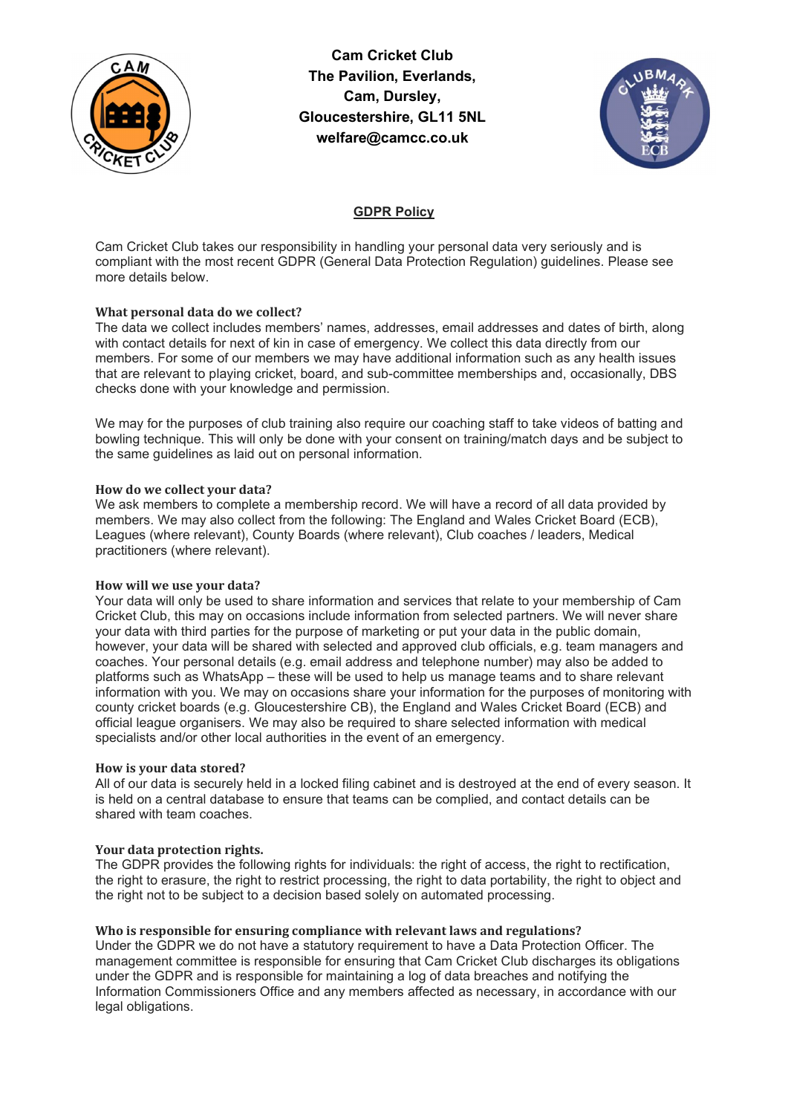

Cam Cricket Club The Pavilion, Everlands, Cam, Dursley, Gloucestershire, GL11 5NL welfare@camcc.co.uk



# GDPR Policy

Cam Cricket Club takes our responsibility in handling your personal data very seriously and is compliant with the most recent GDPR (General Data Protection Regulation) guidelines. Please see more details below.

# What personal data do we collect?

The data we collect includes members' names, addresses, email addresses and dates of birth, along with contact details for next of kin in case of emergency. We collect this data directly from our members. For some of our members we may have additional information such as any health issues that are relevant to playing cricket, board, and sub-committee memberships and, occasionally, DBS checks done with your knowledge and permission.

We may for the purposes of club training also require our coaching staff to take videos of batting and bowling technique. This will only be done with your consent on training/match days and be subject to the same guidelines as laid out on personal information.

# How do we collect your data?

We ask members to complete a membership record. We will have a record of all data provided by members. We may also collect from the following: The England and Wales Cricket Board (ECB), Leagues (where relevant), County Boards (where relevant), Club coaches / leaders, Medical practitioners (where relevant).

# How will we use your data?

Your data will only be used to share information and services that relate to your membership of Cam Cricket Club, this may on occasions include information from selected partners. We will never share your data with third parties for the purpose of marketing or put your data in the public domain, however, your data will be shared with selected and approved club officials, e.g. team managers and coaches. Your personal details (e.g. email address and telephone number) may also be added to platforms such as WhatsApp – these will be used to help us manage teams and to share relevant information with you. We may on occasions share your information for the purposes of monitoring with county cricket boards (e.g. Gloucestershire CB), the England and Wales Cricket Board (ECB) and official league organisers. We may also be required to share selected information with medical specialists and/or other local authorities in the event of an emergency.

# How is your data stored?

All of our data is securely held in a locked filing cabinet and is destroyed at the end of every season. It is held on a central database to ensure that teams can be complied, and contact details can be shared with team coaches.

# Your data protection rights.

The GDPR provides the following rights for individuals: the right of access, the right to rectification, the right to erasure, the right to restrict processing, the right to data portability, the right to object and the right not to be subject to a decision based solely on automated processing.

# Who is responsible for ensuring compliance with relevant laws and regulations?

Under the GDPR we do not have a statutory requirement to have a Data Protection Officer. The management committee is responsible for ensuring that Cam Cricket Club discharges its obligations under the GDPR and is responsible for maintaining a log of data breaches and notifying the Information Commissioners Office and any members affected as necessary, in accordance with our legal obligations.